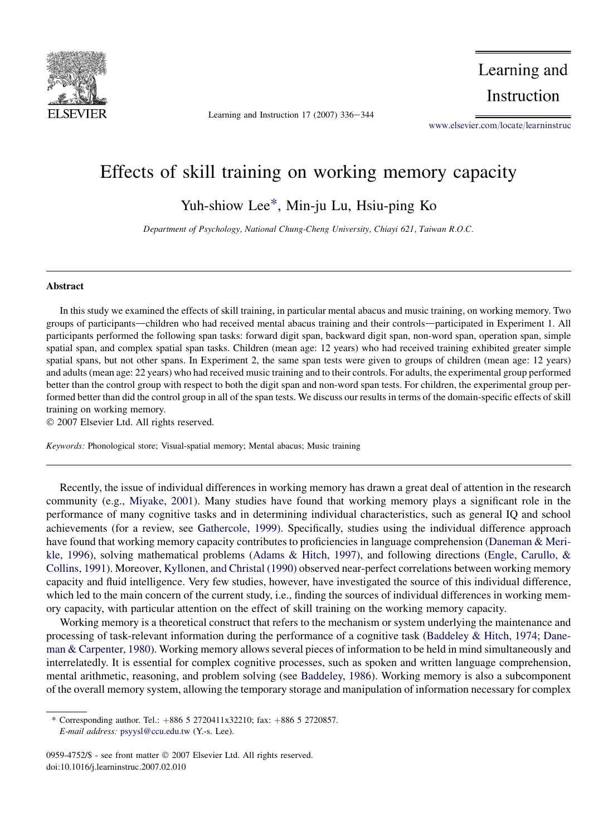

Learning and Instruction  $17$  (2007) 336-344

Learning and Instruction

[www.elsevier.com/locate/learninstruc](http://www.elsevier.com/locate/learninstruc)

## Effects of skill training on working memory capacity

Yuh-shiow Lee\*, Min-ju Lu, Hsiu-ping Ko

Department of Psychology, National Chung-Cheng University, Chiayi 621, Taiwan R.O.C.

## Abstract

In this study we examined the effects of skill training, in particular mental abacus and music training, on working memory. Two groups of participants—children who had received mental abacus training and their controls—participated in Experiment 1. All participants performed the following span tasks: forward digit span, backward digit span, non-word span, operation span, simple spatial span, and complex spatial span tasks. Children (mean age: 12 years) who had received training exhibited greater simple spatial spans, but not other spans. In Experiment 2, the same span tests were given to groups of children (mean age: 12 years) and adults (mean age: 22 years) who had received music training and to their controls. For adults, the experimental group performed better than the control group with respect to both the digit span and non-word span tests. For children, the experimental group performed better than did the control group in all of the span tests. We discuss our results in terms of the domain-specific effects of skill training on working memory.

 $© 2007 Elsevier Ltd. All rights reserved.$ 

Keywords: Phonological store; Visual-spatial memory; Mental abacus; Music training

Recently, the issue of individual differences in working memory has drawn a great deal of attention in the research community (e.g., [Miyake, 2001](#page--1-0)). Many studies have found that working memory plays a significant role in the performance of many cognitive tasks and in determining individual characteristics, such as general IQ and school achievements (for a review, see [Gathercole, 1999](#page--1-0)). Specifically, studies using the individual difference approach have found that working memory capacity contributes to proficiencies in language comprehension [\(Daneman & Meri](#page--1-0)[kle, 1996\)](#page--1-0), solving mathematical problems ([Adams & Hitch, 1997\)](#page--1-0), and following directions ([Engle, Carullo, &](#page--1-0) [Collins, 1991\)](#page--1-0). Moreover, [Kyllonen, and Christal \(1990\)](#page--1-0) observed near-perfect correlations between working memory capacity and fluid intelligence. Very few studies, however, have investigated the source of this individual difference, which led to the main concern of the current study, i.e., finding the sources of individual differences in working memory capacity, with particular attention on the effect of skill training on the working memory capacity.

Working memory is a theoretical construct that refers to the mechanism or system underlying the maintenance and processing of task-relevant information during the performance of a cognitive task [\(Baddeley & Hitch, 1974; Dane](#page--1-0)[man & Carpenter, 1980\)](#page--1-0). Working memory allows several pieces of information to be held in mind simultaneously and interrelatedly. It is essential for complex cognitive processes, such as spoken and written language comprehension, mental arithmetic, reasoning, and problem solving (see [Baddeley, 1986\)](#page--1-0). Working memory is also a subcomponent of the overall memory system, allowing the temporary storage and manipulation of information necessary for complex

<sup>\*</sup> Corresponding author. Tel.:  $+886$  5 2720411x32210; fax:  $+886$  5 2720857. E-mail address: [psyysl@ccu.edu.tw](mailto:psyysl@ccu.edu.tw) (Y.-s. Lee).

<sup>0959-4752/\$ -</sup> see front matter © 2007 Elsevier Ltd. All rights reserved. doi:10.1016/j.learninstruc.2007.02.010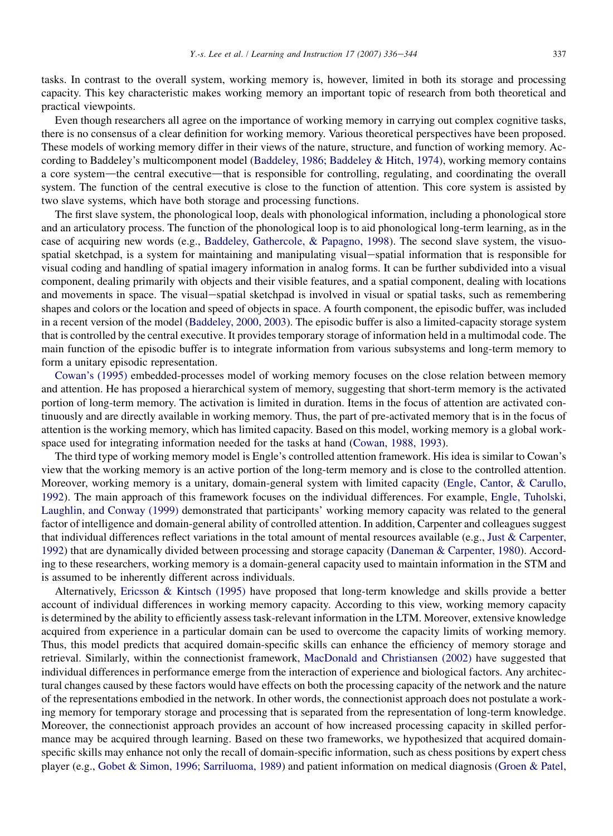tasks. In contrast to the overall system, working memory is, however, limited in both its storage and processing capacity. This key characteristic makes working memory an important topic of research from both theoretical and practical viewpoints.

Even though researchers all agree on the importance of working memory in carrying out complex cognitive tasks, there is no consensus of a clear definition for working memory. Various theoretical perspectives have been proposed. These models of working memory differ in their views of the nature, structure, and function of working memory. According to Baddeley's multicomponent model ([Baddeley, 1986; Baddeley & Hitch, 1974](#page--1-0)), working memory contains a core system—the central executive—that is responsible for controlling, regulating, and coordinating the overall system. The function of the central executive is close to the function of attention. This core system is assisted by two slave systems, which have both storage and processing functions.

The first slave system, the phonological loop, deals with phonological information, including a phonological store and an articulatory process. The function of the phonological loop is to aid phonological long-term learning, as in the case of acquiring new words (e.g., [Baddeley, Gathercole, & Papagno, 1998\)](#page--1-0). The second slave system, the visuospatial sketchpad, is a system for maintaining and manipulating visual-spatial information that is responsible for visual coding and handling of spatial imagery information in analog forms. It can be further subdivided into a visual component, dealing primarily with objects and their visible features, and a spatial component, dealing with locations and movements in space. The visual-spatial sketchpad is involved in visual or spatial tasks, such as remembering shapes and colors or the location and speed of objects in space. A fourth component, the episodic buffer, was included in a recent version of the model ([Baddeley, 2000, 2003](#page--1-0)). The episodic buffer is also a limited-capacity storage system that is controlled by the central executive. It provides temporary storage of information held in a multimodal code. The main function of the episodic buffer is to integrate information from various subsystems and long-term memory to form a unitary episodic representation.

[Cowan's \(1995\)](#page--1-0) embedded-processes model of working memory focuses on the close relation between memory and attention. He has proposed a hierarchical system of memory, suggesting that short-term memory is the activated portion of long-term memory. The activation is limited in duration. Items in the focus of attention are activated continuously and are directly available in working memory. Thus, the part of pre-activated memory that is in the focus of attention is the working memory, which has limited capacity. Based on this model, working memory is a global workspace used for integrating information needed for the tasks at hand ([Cowan, 1988, 1993\)](#page--1-0).

The third type of working memory model is Engle's controlled attention framework. His idea is similar to Cowan's view that the working memory is an active portion of the long-term memory and is close to the controlled attention. Moreover, working memory is a unitary, domain-general system with limited capacity [\(Engle, Cantor, & Carullo,](#page--1-0) [1992\)](#page--1-0). The main approach of this framework focuses on the individual differences. For example, [Engle, Tuholski,](#page--1-0) [Laughlin, and Conway \(1999\)](#page--1-0) demonstrated that participants' working memory capacity was related to the general factor of intelligence and domain-general ability of controlled attention. In addition, Carpenter and colleagues suggest that individual differences reflect variations in the total amount of mental resources available (e.g., [Just & Carpenter,](#page--1-0) [1992\)](#page--1-0) that are dynamically divided between processing and storage capacity [\(Daneman & Carpenter, 1980](#page--1-0)). According to these researchers, working memory is a domain-general capacity used to maintain information in the STM and is assumed to be inherently different across individuals.

Alternatively, [Ericsson & Kintsch \(1995\)](#page--1-0) have proposed that long-term knowledge and skills provide a better account of individual differences in working memory capacity. According to this view, working memory capacity is determined by the ability to efficiently assess task-relevant information in the LTM. Moreover, extensive knowledge acquired from experience in a particular domain can be used to overcome the capacity limits of working memory. Thus, this model predicts that acquired domain-specific skills can enhance the efficiency of memory storage and retrieval. Similarly, within the connectionist framework, [MacDonald and Christiansen \(2002\)](#page--1-0) have suggested that individual differences in performance emerge from the interaction of experience and biological factors. Any architectural changes caused by these factors would have effects on both the processing capacity of the network and the nature of the representations embodied in the network. In other words, the connectionist approach does not postulate a working memory for temporary storage and processing that is separated from the representation of long-term knowledge. Moreover, the connectionist approach provides an account of how increased processing capacity in skilled performance may be acquired through learning. Based on these two frameworks, we hypothesized that acquired domainspecific skills may enhance not only the recall of domain-specific information, such as chess positions by expert chess player (e.g., [Gobet & Simon, 1996; Sarriluoma, 1989](#page--1-0)) and patient information on medical diagnosis ([Groen & Patel,](#page--1-0)